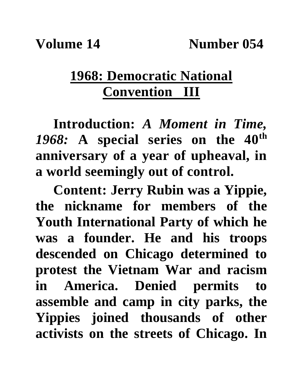## **1968: Democratic National Convention III**

**Introduction:** *A Moment in Time, 1968:* **A special series on the 40th anniversary of a year of upheaval, in a world seemingly out of control.**

**Content: Jerry Rubin was a Yippie, the nickname for members of the Youth International Party of which he was a founder. He and his troops descended on Chicago determined to protest the Vietnam War and racism in America. Denied permits to assemble and camp in city parks, the Yippies joined thousands of other activists on the streets of Chicago. In**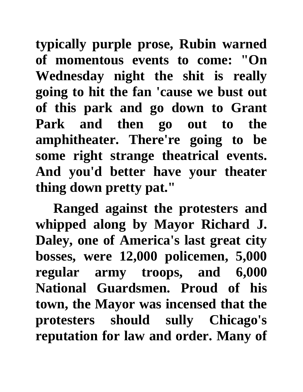**typically purple prose, Rubin warned of momentous events to come: "On Wednesday night the shit is really going to hit the fan 'cause we bust out of this park and go down to Grant**  Park and then go out to the **amphitheater. There're going to be some right strange theatrical events. And you'd better have your theater thing down pretty pat."** 

**Ranged against the protesters and whipped along by Mayor Richard J. Daley, one of America's last great city bosses, were 12,000 policemen, 5,000 regular army troops, and 6,000 National Guardsmen. Proud of his town, the Mayor was incensed that the protesters should sully Chicago's reputation for law and order. Many of**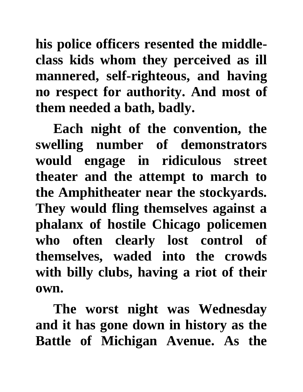**his police officers resented the middleclass kids whom they perceived as ill mannered, self-righteous, and having no respect for authority. And most of them needed a bath, badly.**

**Each night of the convention, the swelling number of demonstrators would engage in ridiculous street theater and the attempt to march to the Amphitheater near the stockyards. They would fling themselves against a phalanx of hostile Chicago policemen who often clearly lost control of themselves, waded into the crowds with billy clubs, having a riot of their own.** 

**The worst night was Wednesday and it has gone down in history as the Battle of Michigan Avenue. As the**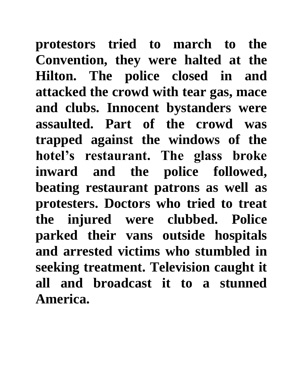**protestors tried to march to the Convention, they were halted at the Hilton. The police closed in and attacked the crowd with tear gas, mace and clubs. Innocent bystanders were assaulted. Part of the crowd was trapped against the windows of the hotel's restaurant. The glass broke inward and the police followed, beating restaurant patrons as well as protesters. Doctors who tried to treat the injured were clubbed. Police parked their vans outside hospitals and arrested victims who stumbled in seeking treatment. Television caught it all and broadcast it to a stunned America.**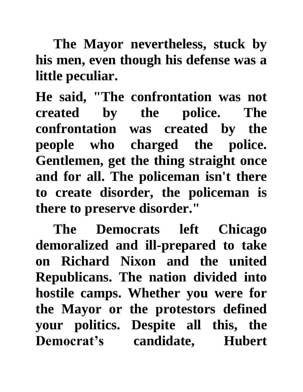**The Mayor nevertheless, stuck by his men, even though his defense was a little peculiar.**

**He said, "The confrontation was not created by the police. The confrontation was created by the people who charged the police. Gentlemen, get the thing straight once and for all. The policeman isn't there to create disorder, the policeman is there to preserve disorder."**

**The Democrats left Chicago demoralized and ill-prepared to take on Richard Nixon and the united Republicans. The nation divided into hostile camps. Whether you were for the Mayor or the protestors defined your politics. Despite all this, the Democrat's candidate, Hubert**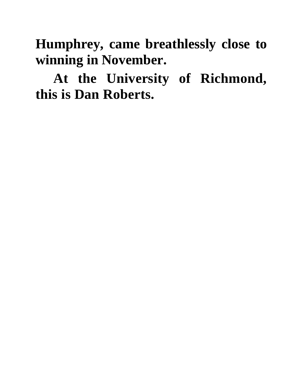**Humphrey, came breathlessly close to winning in November.**

**At the University of Richmond, this is Dan Roberts.**